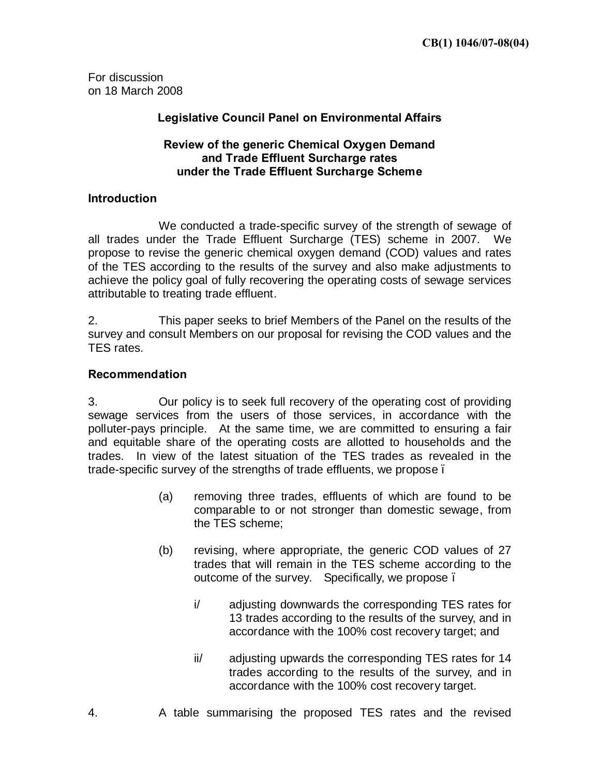For discussion on 18 March 2008

## **Legislative Council Panel on Environmental Affairs**

### **Review of the generic Chemical Oxygen Demand and Trade Effluent Surcharge rates under the Trade Effluent Surcharge Scheme**

#### **Introduction**

We conducted a trade-specific survey of the strength of sewage of all trades under the Trade Effluent Surcharge (TES) scheme in 2007. We propose to revise the generic chemical oxygen demand (COD) values and rates of the TES according to the results of the survey and also make adjustments to achieve the policy goal of fully recovering the operating costs of sewage services attributable to treating trade effluent.

2. This paper seeks to brief Members of the Panel on the results of the survey and consult Members on our proposal for revising the COD values and the TES rates.

#### **Recommendation**

3. Our policy is to seek full recovery of the operating cost of providing sewage services from the users of those services, in accordance with the polluter-pays principle. At the same time, we are committed to ensuring a fair and equitable share of the operating costs are allotted to households and the trades. In view of the latest situation of the TES trades as revealed in the trade-specific survey of the strengths of trade effluents, we propose –

- (a) removing three trades, effluents of which are found to be comparable to or not stronger than domestic sewage, from the TES scheme;
- (b) revising, where appropriate, the generic COD values of 27 trades that will remain in the TES scheme according to the outcome of the survey. Specifically, we propose –
	- i/ adjusting downwards the corresponding TES rates for 13 trades according to the results of the survey, and in accordance with the 100% cost recovery target; and
	- ii/ adjusting upwards the corresponding TES rates for 14 trades according to the results of the survey, and in accordance with the 100% cost recovery target.
- 4. A table summarising the proposed TES rates and the revised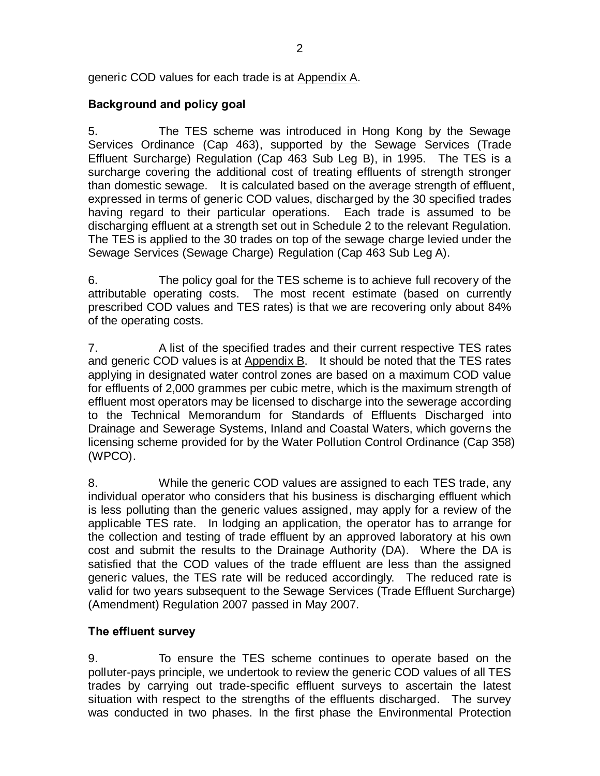generic COD values for each trade is at Appendix A.

# **Background and policy goal**

5. The TES scheme was introduced in Hong Kong by the Sewage Services Ordinance (Cap 463), supported by the Sewage Services (Trade Effluent Surcharge) Regulation (Cap 463 Sub Leg B), in 1995. The TES is a surcharge covering the additional cost of treating effluents of strength stronger than domestic sewage. It is calculated based on the average strength of effluent, expressed in terms of generic COD values, discharged by the 30 specified trades having regard to their particular operations. Each trade is assumed to be discharging effluent at a strength set out in Schedule 2 to the relevant Regulation. The TES is applied to the 30 trades on top of the sewage charge levied under the Sewage Services (Sewage Charge) Regulation (Cap 463 Sub Leg A).

6. The policy goal for the TES scheme is to achieve full recovery of the attributable operating costs. The most recent estimate (based on currently prescribed COD values and TES rates) is that we are recovering only about 84% of the operating costs.

7. A list of the specified trades and their current respective TES rates and generic COD values is at Appendix B. It should be noted that the TES rates applying in designated water control zones are based on a maximum COD value for effluents of 2,000 grammes per cubic metre, which is the maximum strength of effluent most operators may be licensed to discharge into the sewerage according to the Technical Memorandum for Standards of Effluents Discharged into Drainage and Sewerage Systems, Inland and Coastal Waters, which governs the licensing scheme provided for by the Water Pollution Control Ordinance (Cap 358) (WPCO).

8. While the generic COD values are assigned to each TES trade, any individual operator who considers that his business is discharging effluent which is less polluting than the generic values assigned, may apply for a review of the applicable TES rate. In lodging an application, the operator has to arrange for the collection and testing of trade effluent by an approved laboratory at his own cost and submit the results to the Drainage Authority (DA). Where the DA is satisfied that the COD values of the trade effluent are less than the assigned generic values, the TES rate will be reduced accordingly. The reduced rate is valid for two years subsequent to the Sewage Services (Trade Effluent Surcharge) (Amendment) Regulation 2007 passed in May 2007.

## **The effluent survey**

9. To ensure the TES scheme continues to operate based on the polluter-pays principle, we undertook to review the generic COD values of all TES trades by carrying out trade-specific effluent surveys to ascertain the latest situation with respect to the strengths of the effluents discharged. The survey was conducted in two phases. In the first phase the Environmental Protection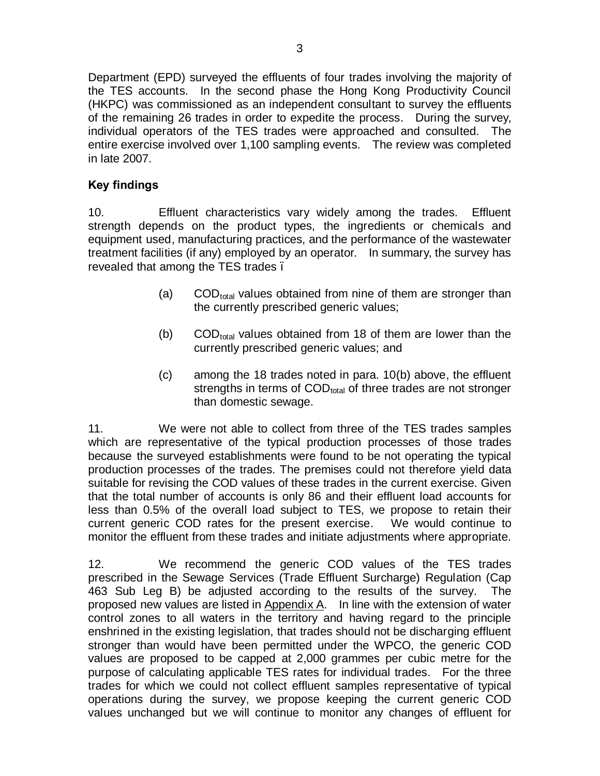Department (EPD) surveyed the effluents of four trades involving the majority of the TES accounts. In the second phase the Hong Kong Productivity Council (HKPC) was commissioned as an independent consultant to survey the effluents of the remaining 26 trades in order to expedite the process. During the survey, individual operators of the TES trades were approached and consulted. The entire exercise involved over 1,100 sampling events. The review was completed in late 2007.

## **Key findings**

10. Effluent characteristics vary widely among the trades. Effluent strength depends on the product types, the ingredients or chemicals and equipment used, manufacturing practices, and the performance of the wastewater treatment facilities (if any) employed by an operator. In summary, the survey has revealed that among the TES trades.

- (a)  $\text{COD}_{\text{total}}$  values obtained from nine of them are stronger than the currently prescribed generic values;
- (b) COD $_{\text{total}}$  values obtained from 18 of them are lower than the currently prescribed generic values; and
- (c) among the 18 trades noted in para. 10(b) above, the effluent strengths in terms of COD<sub>total</sub> of three trades are not stronger than domestic sewage.

11. We were not able to collect from three of the TES trades samples which are representative of the typical production processes of those trades because the surveyed establishments were found to be not operating the typical production processes of the trades. The premises could not therefore yield data suitable for revising the COD values of these trades in the current exercise. Given that the total number of accounts is only 86 and their effluent load accounts for less than 0.5% of the overall load subject to TES, we propose to retain their current generic COD rates for the present exercise. We would continue to monitor the effluent from these trades and initiate adjustments where appropriate.

12. We recommend the generic COD values of the TES trades prescribed in the Sewage Services (Trade Effluent Surcharge) Regulation (Cap 463 Sub Leg B) be adjusted according to the results of the survey. The proposed new values are listed in  $Appendix A$ . In line with the extension of water control zones to all waters in the territory and having regard to the principle enshrined in the existing legislation, that trades should not be discharging effluent stronger than would have been permitted under the WPCO, the generic COD values are proposed to be capped at 2,000 grammes per cubic metre for the purpose of calculating applicable TES rates for individual trades. For the three trades for which we could not collect effluent samples representative of typical operations during the survey, we propose keeping the current generic COD values unchanged but we will continue to monitor any changes of effluent for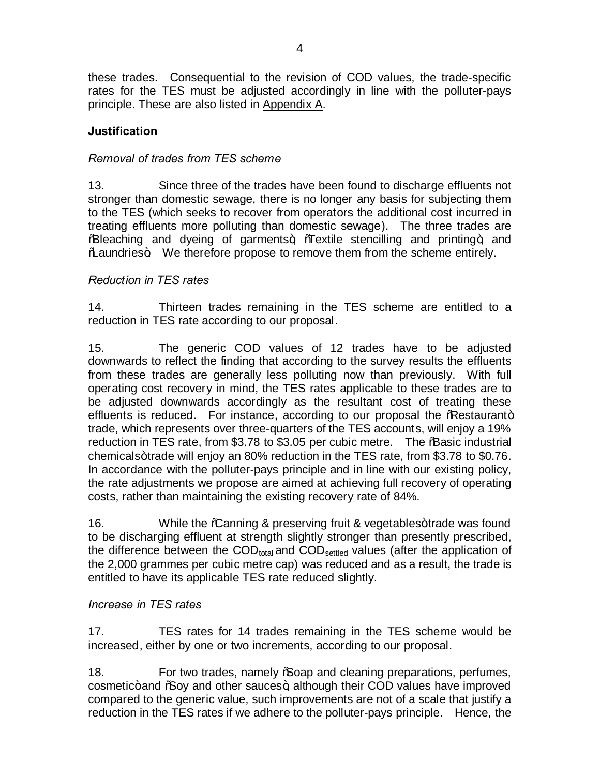these trades. Consequential to the revision of COD values, the trade-specific rates for the TES must be adjusted accordingly in line with the polluter-pays principle. These are also listed in Appendix A.

# **Justification**

## *Removal of trades from TES scheme*

13. Since three of the trades have been found to discharge effluents not stronger than domestic sewage, there is no longer any basis for subjecting them to the TES (which seeks to recover from operators the additional cost incurred in treating effluents more polluting than domestic sewage). The three trades are % Bleaching and dyeing of garments+, % Textile stencilling and printing+, and Maaundries + We therefore propose to remove them from the scheme entirely.

### *Reduction in TES rates*

14. Thirteen trades remaining in the TES scheme are entitled to a reduction in TES rate according to our proposal.

15. The generic COD values of 12 trades have to be adjusted downwards to reflect the finding that according to the survey results the effluents from these trades are generally less polluting now than previously. With full operating cost recovery in mind, the TES rates applicable to these trades are to be adjusted downwards accordingly as the resultant cost of treating these effluents is reduced. For instance, according to our proposal the  $%$ Restaurant+ trade, which represents over three-quarters of the TES accounts, will enjoy a 19% reduction in TES rate, from \$3.78 to \$3.05 per cubic metre. The % asic industrial chemicals+trade will enjoy an 80% reduction in the TES rate, from \$3.78 to \$0.76. In accordance with the polluter-pays principle and in line with our existing policy, the rate adjustments we propose are aimed at achieving full recovery of operating costs, rather than maintaining the existing recovery rate of 84%.

16. While the **Canning & preserving fruit & vegetables+trade was found** to be discharging effluent at strength slightly stronger than presently prescribed, the difference between the  $\text{COD}_{total}$  and  $\text{COD}_{\text{settled}}$  values (after the application of the 2,000 grammes per cubic metre cap) was reduced and as a result, the trade is entitled to have its applicable TES rate reduced slightly.

### *Increase in TES rates*

17. TES rates for 14 trades remaining in the TES scheme would be increased, either by one or two increments, according to our proposal.

18. For two trades, namely **%** oap and cleaning preparations, perfumes, cosmetic+ and % Soy and other sauces +, although their COD values have improved compared to the generic value, such improvements are not of a scale that justify a reduction in the TES rates if we adhere to the polluter-pays principle. Hence, the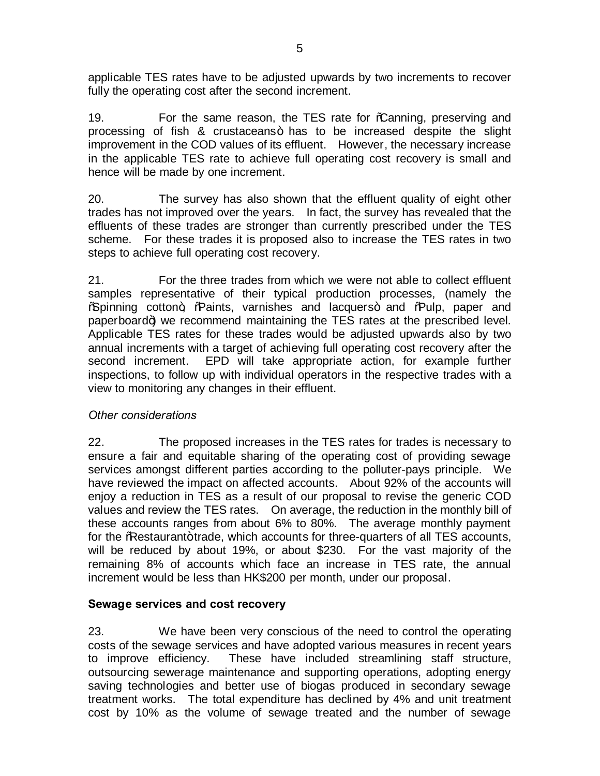applicable TES rates have to be adjusted upwards by two increments to recover fully the operating cost after the second increment.

19. For the same reason, the TES rate for Coanning, preserving and processing of fish & crustaceans+ has to be increased despite the slight improvement in the COD values of its effluent. However, the necessary increase in the applicable TES rate to achieve full operating cost recovery is small and hence will be made by one increment.

20. The survey has also shown that the effluent quality of eight other trades has not improved over the years. In fact, the survey has revealed that the effluents of these trades are stronger than currently prescribed under the TES scheme. For these trades it is proposed also to increase the TES rates in two steps to achieve full operating cost recovery.

21. For the three trades from which we were not able to collect effluent samples representative of their typical production processes, (namely the %Spinning cotton+, %Raints, varnishes and lacquers+ and %Rulp, paper and paperboard+) we recommend maintaining the TES rates at the prescribed level. Applicable TES rates for these trades would be adjusted upwards also by two annual increments with a target of achieving full operating cost recovery after the second increment. EPD will take appropriate action, for example further inspections, to follow up with individual operators in the respective trades with a view to monitoring any changes in their effluent.

## *Other considerations*

22. The proposed increases in the TES rates for trades is necessary to ensure a fair and equitable sharing of the operating cost of providing sewage services amongst different parties according to the polluter-pays principle. We have reviewed the impact on affected accounts. About 92% of the accounts will enjoy a reduction in TES as a result of our proposal to revise the generic COD values and review the TES rates. On average, the reduction in the monthly bill of these accounts ranges from about 6% to 80%. The average monthly payment for the Westaurant+trade, which accounts for three-quarters of all TES accounts, will be reduced by about 19%, or about \$230. For the vast majority of the remaining 8% of accounts which face an increase in TES rate, the annual increment would be less than HK\$200 per month, under our proposal.

### **Sewage services and cost recovery**

23. We have been very conscious of the need to control the operating costs of the sewage services and have adopted various measures in recent years to improve efficiency. These have included streamlining staff structure, outsourcing sewerage maintenance and supporting operations, adopting energy saving technologies and better use of biogas produced in secondary sewage treatment works. The total expenditure has declined by 4% and unit treatment cost by 10% as the volume of sewage treated and the number of sewage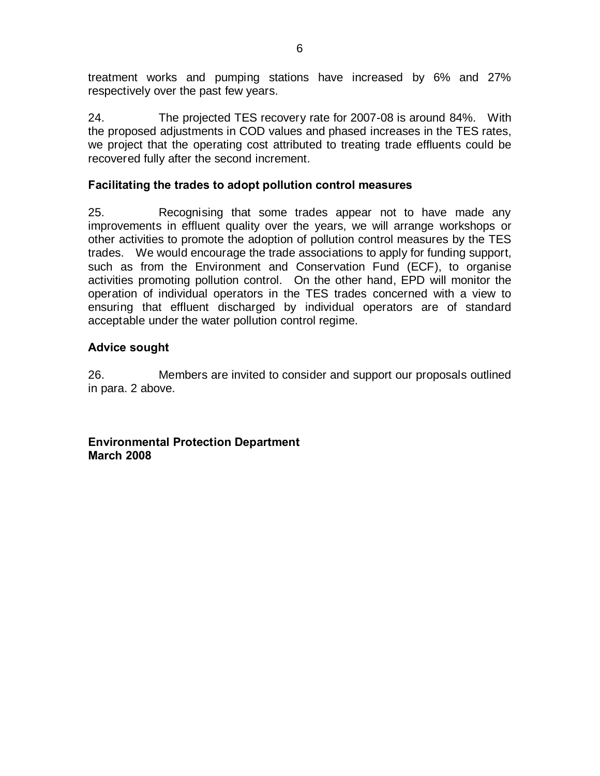treatment works and pumping stations have increased by 6% and 27% respectively over the past few years.

24. The projected TES recovery rate for 2007-08 is around 84%. With the proposed adjustments in COD values and phased increases in the TES rates, we project that the operating cost attributed to treating trade effluents could be recovered fully after the second increment.

### **Facilitating the trades to adopt pollution control measures**

25. Recognising that some trades appear not to have made any improvements in effluent quality over the years, we will arrange workshops or other activities to promote the adoption of pollution control measures by the TES trades. We would encourage the trade associations to apply for funding support, such as from the Environment and Conservation Fund (ECF), to organise activities promoting pollution control. On the other hand, EPD will monitor the operation of individual operators in the TES trades concerned with a view to ensuring that effluent discharged by individual operators are of standard acceptable under the water pollution control regime.

### **Advice sought**

26. Members are invited to consider and support our proposals outlined in para. 2 above.

**Environmental Protection Department March 2008**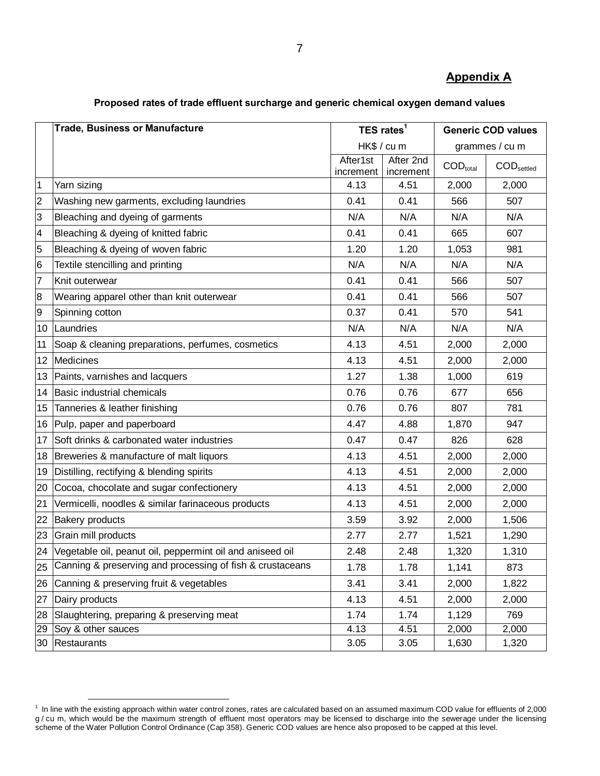# **Appendix A**

|                  | <b>Trade, Business or Manufacture</b>                     | TES rates <sup>1</sup><br>HK\$ / cu m |                        | <b>Generic COD values</b>     |                                 |  |
|------------------|-----------------------------------------------------------|---------------------------------------|------------------------|-------------------------------|---------------------------------|--|
|                  |                                                           |                                       |                        | grammes / cu m                |                                 |  |
|                  |                                                           | After1st<br>increment                 | After 2nd<br>increment | $\mathsf{COD}_\mathsf{total}$ | $\mathsf{COD}_\mathsf{settled}$ |  |
| 1                | Yarn sizing                                               | 4.13                                  | 4.51                   | 2,000                         | 2,000                           |  |
| 2                | Washing new garments, excluding laundries                 | 0.41                                  | 0.41                   | 566                           | 507                             |  |
| 3                | Bleaching and dyeing of garments                          | N/A                                   | N/A                    | N/A                           | N/A                             |  |
| 4                | Bleaching & dyeing of knitted fabric                      | 0.41                                  | 0.41                   | 665                           | 607                             |  |
| 5                | Bleaching & dyeing of woven fabric                        | 1.20                                  | 1.20                   | 1,053                         | 981                             |  |
| 6                | Textile stencilling and printing                          | N/A                                   | N/A                    | N/A                           | N/A                             |  |
| $\overline{7}$   | Knit outerwear                                            | 0.41                                  | 0.41                   | 566                           | 507                             |  |
| 8                | Wearing apparel other than knit outerwear                 | 0.41                                  | 0.41                   | 566                           | 507                             |  |
| 9                | Spinning cotton                                           | 0.37                                  | 0.41                   | 570                           | 541                             |  |
|                  | 10   Laundries                                            | N/A                                   | N/A                    | N/A                           | N/A                             |  |
| 11               | Soap & cleaning preparations, perfumes, cosmetics         | 4.13                                  | 4.51                   | 2,000                         | 2,000                           |  |
|                  | 12 Medicines                                              | 4.13                                  | 4.51                   | 2,000                         | 2,000                           |  |
|                  | 13 Paints, varnishes and lacquers                         | 1.27                                  | 1.38                   | 1,000                         | 619                             |  |
|                  | 14 Basic industrial chemicals                             | 0.76                                  | 0.76                   | 677                           | 656                             |  |
| 15 <sup>15</sup> | Tanneries & leather finishing                             | 0.76                                  | 0.76                   | 807                           | 781                             |  |
|                  | 16 Pulp, paper and paperboard                             | 4.47                                  | 4.88                   | 1,870                         | 947                             |  |
|                  | 17 Soft drinks & carbonated water industries              | 0.47                                  | 0.47                   | 826                           | 628                             |  |
|                  | 18 Breweries & manufacture of malt liquors                | 4.13                                  | 4.51                   | 2,000                         | 2,000                           |  |
| 19               | Distilling, rectifying & blending spirits                 | 4.13                                  | 4.51                   | 2,000                         | 2,000                           |  |
| 20               | Cocoa, chocolate and sugar confectionery                  | 4.13                                  | 4.51                   | 2,000                         | 2,000                           |  |
| 21               | Vermicelli, noodles & similar farinaceous products        | 4.13                                  | 4.51                   | 2,000                         | 2,000                           |  |
| 22               | <b>Bakery products</b>                                    | 3.59                                  | 3.92                   | 2,000                         | 1,506                           |  |
| 23               | Grain mill products                                       | 2.77                                  | 2.77                   | 1,521                         | 1,290                           |  |
| 24               | Vegetable oil, peanut oil, peppermint oil and aniseed oil | 2.48                                  | 2.48                   | 1,320                         | 1,310                           |  |
| 25               | Canning & preserving and processing of fish & crustaceans | 1.78                                  | 1.78                   | 1,141                         | 873                             |  |
| 26               | Canning & preserving fruit & vegetables                   | 3.41                                  | 3.41                   | 2,000                         | 1,822                           |  |
| 27               | Dairy products                                            | 4.13                                  | 4.51                   | 2,000                         | 2,000                           |  |
| 28               | Slaughtering, preparing & preserving meat                 | 1.74                                  | 1.74                   | 1,129                         | 769                             |  |
| <u>29 </u>       | Soy & other sauces                                        | 4.13                                  | 4.51                   | 2,000                         | 2,000                           |  |
| 30               | Restaurants                                               | 3.05                                  | 3.05                   | 1,630                         | 1,320                           |  |

#### **Proposed rates of trade effluent surcharge and generic chemical oxygen demand values**

 In line with the existing approach within water control zones, rates are calculated based on an assumed maximum COD value for effluents of 2,000 g/cu m, which would be the maximum strength of effluent most operators may be licensed to discharge into the sewerage under the licensing scheme of the Water Pollution Control Ordinance (Cap 358). Generic COD values are hence also proposed to be capped at this level.